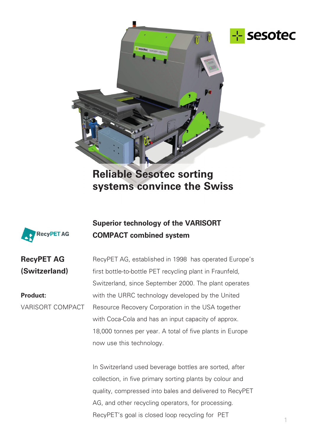

**Reliable Sesotec sorting systems convince the Swiss**



## **Superior technology of the VARISORT COMPACT combined system**

**RecyPET AG (Switzerland)**

**Product:** VARISORT COMPACT

RecyPET AG, established in 1998 has operated Europe's first bottle-to-bottle PET recycling plant in Fraunfeld, Switzerland, since September 2000. The plant operates with the URRC technology developed by the United Resource Recovery Corporation in the USA together with Coca-Cola and has an input capacity of approx. 18,000 tonnes per year. A total of five plants in Europe now use this technology.

In Switzerland used beverage bottles are sorted, after collection, in five primary sorting plants by colour and quality, compressed into bales and delivered to RecyPET AG, and other recycling operators, for processing. RecyPET's goal is closed loop recycling for PET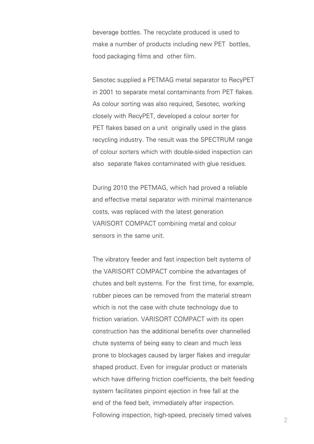beverage bottles. The recyclate produced is used to make a number of products including new PET bottles, food packaging films and other film.

Sesotec supplied a PETMAG metal separator to RecyPET in 2001 to separate metal contaminants from PET flakes. As colour sorting was also required, Sesotec, working closely with RecyPET, developed a colour sorter for PET flakes based on a unit originally used in the glass recycling industry. The result was the SPECTRUM range of colour sorters which with double-sided inspection can also separate flakes contaminated with glue residues.

During 2010 the PETMAG, which had proved a reliable and effective metal separator with minimal maintenance costs, was replaced with the latest generation VARISORT COMPACT combining metal and colour sensors in the same unit.

The vibratory feeder and fast inspection belt systems of the VARISORT COMPACT combine the advantages of chutes and belt systems. For the first time, for example, rubber pieces can be removed from the material stream which is not the case with chute technology due to friction variation. VARISORT COMPACT with its open construction has the additional benefits over channelled chute systems of being easy to clean and much less prone to blockages caused by larger flakes and irregular shaped product. Even for irregular product or materials which have differing friction coefficients, the belt feeding system facilitates pinpoint ejection in free fall at the end of the feed belt, immediately after inspection. Following inspection, high-speed, precisely timed valves  $\frac{2}{2}$